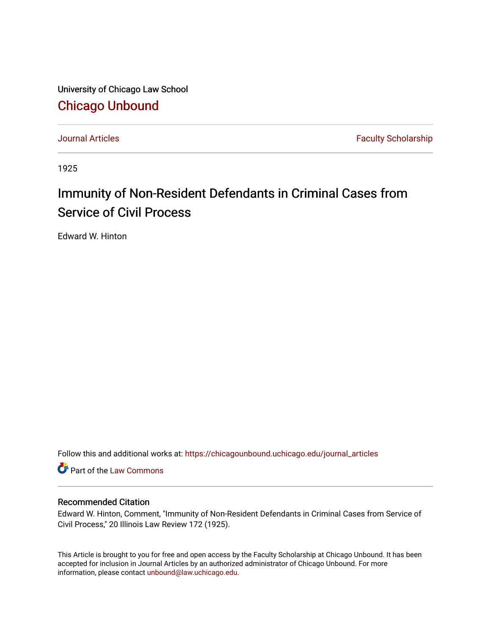University of Chicago Law School [Chicago Unbound](https://chicagounbound.uchicago.edu/)

[Journal Articles](https://chicagounbound.uchicago.edu/journal_articles) **Faculty Scholarship Faculty Scholarship** 

1925

## Immunity of Non-Resident Defendants in Criminal Cases from Service of Civil Process

Edward W. Hinton

Follow this and additional works at: [https://chicagounbound.uchicago.edu/journal\\_articles](https://chicagounbound.uchicago.edu/journal_articles?utm_source=chicagounbound.uchicago.edu%2Fjournal_articles%2F9161&utm_medium=PDF&utm_campaign=PDFCoverPages) 

Part of the [Law Commons](http://network.bepress.com/hgg/discipline/578?utm_source=chicagounbound.uchicago.edu%2Fjournal_articles%2F9161&utm_medium=PDF&utm_campaign=PDFCoverPages)

## Recommended Citation

Edward W. Hinton, Comment, "Immunity of Non-Resident Defendants in Criminal Cases from Service of Civil Process," 20 Illinois Law Review 172 (1925).

This Article is brought to you for free and open access by the Faculty Scholarship at Chicago Unbound. It has been accepted for inclusion in Journal Articles by an authorized administrator of Chicago Unbound. For more information, please contact [unbound@law.uchicago.edu](mailto:unbound@law.uchicago.edu).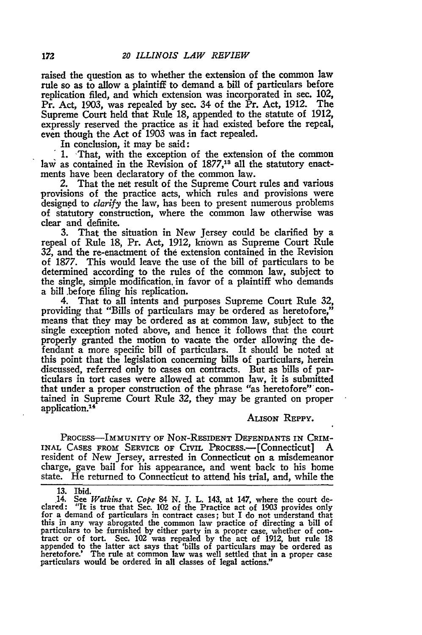raised the question as to whether the extension of the common law rule so as to allow a plaintiff to demand a bill of particulars before replication filed, and which extension was incorporated in sec. 102, Pr. Act, 1903, was repealed by sec. 34 of the Pr. Act, 1912. The Supreme Court held that Rule 18, appended to the statute of 1912, expressly reserved the practice as it had existed before the repeal, even though the Act of 1903 was in fact repealed.

In conclusion, it may be said:

1. -That, with the exception of the extension of the common law as contained in the Revision of 1877,<sup>13</sup> all the statutory enactments have been declaratory of the common law.

2. That the net result of the Supreme Court rules and various provisions of the practice acts, which rules and provisions were designed to *clarify* the law, has been to present numerous problems of statutory construction, where the common law otherwise was clear and definite.

**3.** That the situation in New Jersey could **be** clarified by a repeal of Rule 18, Pr. Act, 1912, known as Supreme Court Rule **32,** and the re-enactment of the extension contained in the Revision of 1877. This would leave the use of the bill of particulars to be determined according to the rules of the common law, subject to the single, simple modification, in favor of a plaintiff who demands a bill .before filing his replication.

4. That to all intents and purposes Supreme Court Rule **32,** providing that "Bills of particulars may be ordered as heretofore," means that they may **be** ordered as at common law, subject to the single exception noted above, and hence it follows that the court properly granted the motion to vacate the order allowing the defendant a more specific bill of particulars. It should be noted at this point that the legislation concerning bills of particulars, herein discussed, referred only to cases on contracts. But as bills of particulars in tort cases were allowed at common law, it is submitted that under a proper construction of the phrase "as heretofore" contained in Supreme Court Rule **32,** they may be granted on proper application.<sup>14</sup>

## ALISON **REPPY.**

PROCESS-IMMUNITY OF NoN-RESIDENT DEFENDANTS IN CRIM-INAL CASES FROM SERVICE OF CIVIL PROCESS.—[Connecticut] A resident of New Jersey, arrested in Connecticut on a misdemeanor charge, gave bail for his appearance, and went back to his home state. He returned to Connecticut to attend his trial, and, while the

**<sup>13.</sup>** Ibid. 14. See *Watkins v. Cope* 84 **N. J.** L. 143, at 147, where the court declared: "It is true that Sec. 102 of the Practice act of **1903** provides only **for** a demand of particulars in contract cases; but I do not understand that this in any way abrogated the common law practice of directing a bill of particulars to be furnished **by** either party in a proper case, whether of con- tract or of tort. Sec. 102 was repealed **by** the act of 1912, but rule 18 appended to the latter act says that 'bills of particulars may be ordered as heretofore.' The rule at common law was well settled that in a proper case particulars would be ordered in all classes of legal actions."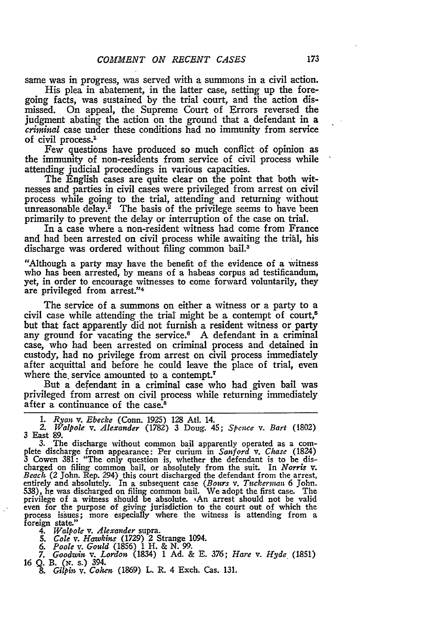same was in progress, was served with a summons in a civil action.

His plea in abatement, in the latter case, setting up the foregoing facts, was sustained by the trial court, and the action dismissed. On appeal, the Supreme Court of Errors reversed the judgment abating the action on the ground that a defendant in a criminal case under these conditions had no immunity from service of civil process.1

Few questions have produced so much conflict of opinion as the immunity of non-residents from service of civil process while attending judicial proceedings in various capacities.

The English cases are quite clear on the point that both witnesses and parties in civil cases were privileged from arrest on civil process while going to the trial, attending and returning without unreasonable delay.<sup>2</sup> The basis of the privilege seems to have been primarily to prevent the delay or interruption of the case on trial.

In a case where a non-resident witness had come from France and had been arrested on civil process while awaiting the trial, his discharge was ordered without filing common bail.<sup>3</sup>

"Although a party may have the benefit of the evidence of a witness who has been arrested, **by** means of a habeas corpus ad testificandum, yet, in order to encourage witnesses to come forward voluntarily, they are privileged from arrest."4

The service of a summons on either a witness or a party to a civil case while attending the trial might be a contempt of court,<sup>5</sup> but that fact apparently did not furnish a resident witness or party any ground for vacating the service.<sup>6</sup> A defendant in a criminal case, who had been arrested on criminal process and detained in custody, had no privilege from arrest on civil process immediately after acquittal and before he could leave the place of trial, even where the service amounted to a contempt.<sup>7</sup>

But a defendant in a criminal case who had given bail was privileged from arrest on civil process while returning immediately after a continuance of the case.<sup>8</sup>

*1. Ryan v. Ebecke* (Conn. **1925)** 128 Atl. 14. *2. Walpole v. Alexander* (1782) 3 Doug. 45; *Spence v. Bart* (1802) 3 East 89. 3. The discharge without common bail apparently operated as a com-

plete discharge from appearance: Per curium in *Sanford v. Chase* (1824) 3 Cowen 381: "The only question is, whether the defendant is to be discharged on filing common bail, or absolutely from the suit. In Norris v.<br>Beach (2 John. Rep. 294) this court discharged the defendant from the arrest,<br>entirely and absolutely. In a subsequent case (Bours v. Tuckerman 6 Joh 538), he was discharged on filing common bail. We adopt the first case. The privilege of a witness should be absolute. 'An arrest should not be valid even for the purpose of giving jurisdiction to the court out of which the process issues; more especially where the witness is attending from a foreign state."

4. *Walpole* v. *Alexander* supra. 5. *Cole v. Hawkins* (1729) 2 Strange 1094.

*6. Poole v. Gould* (1856) 1 H. & N. 99. **7.** *Goodzvin v. Lordon* (1834) 1 Ad. & E. 376; *Hare v. Hyde* (1851) <sup>16</sup>*Q.* B. *(x.* s.) 394.

*& Gilpin v. Cohen* (1869) L. R. 4 Exch. Cas. 131.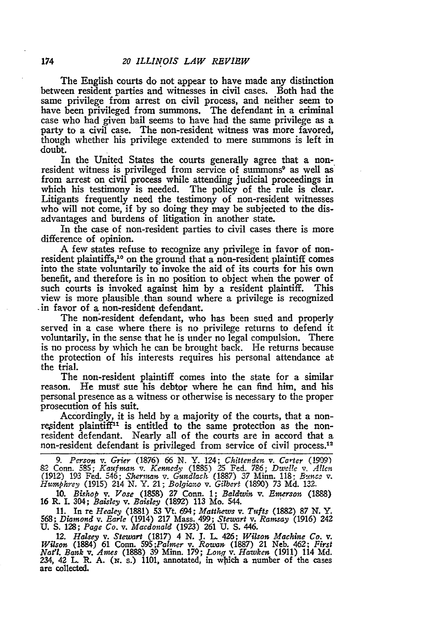The English courts do not appear to have made any distinction between resident parties and witnesses in civil cases. Both had the same privilege from arrest on civil process, and neither seem to have been privileged from summons. The defendant in a criminal case who had given bail seems to have had the same privilege as a party to a civil case. The non-resident witness was more favored, though whether his privilege extended to mere summons is left in doubt.

In the United States the courts generally agree that a nonresident witness is privileged from service of summons<sup>9</sup> as well as from arrest on civil process while attending judicial proceedings in which his testimony is needed. The policy of the rule is clear. Litigants frequently need the testimony of non-resident witnesses who will not come, if by so doing they may be subjected to the disadvantages and burdens of litigation in another state.

In the case of non-resident parties to civil cases there is more difference of opinion.

A few states refuse to recognize any privilege in favor of nonresident plaintiffs,<sup>10</sup> on the ground that a non-resident plaintiff comes into the state voluntarily to invoke the aid of its courts for his own benefit, and therefore is in no position to object when the power of such courts is invoked against him by a resident plaintiff. This view is more plausible than sound where a privilege is recognized -in favor of a non-resident defendant.

The non-resident defendant, who has been sued and properly served in a case where there is no privilege returns to defend it voluntarily, in the sense that he is under no legal compulsion. There is no process by which he can be brought back. He returns because the protection of his interests requires his personal attendance at the trial.

The non-resident plaintiff comes into the state for a similar reason. He must sue his debtor where he can find him, and his personal presence as a witness or otherwise is necessary to the proper prosecution of his suit.

Accordingly, it is held by a majority of the courts, that a nonresident plaintiff<sup>11</sup> is entitled to the same protection as the nonresident defendant. Nearly all of the courts are in accord that a non-resident defendant is privileged from service of civil process.<sup>12</sup>

*9. Person* v. *Grier* (1876) **66** N. Y. 124; *Chittenden* v. *Carter* (1909) 82 Conn. 585; *Kaufman v. Kennedy* (1885) 25 Fed. 786; *Dw-ofl v. A!lcn* (1912) 193 Fed. 546; *Slcerman* v- *Gundlach,* (1887) 37 Minn. 118; Ben45 **V.** *Humphrey* (1915) 214 *N.* Y. 21; *Bolgiwo v. Gilbert* (1890) 73 Md. **132.**

10. *Bishop v. Vose* (1858) 27 Conn. 1; *Baldwin v. Emerson* (1888) 16 R. I. 304; *Baisley v. Baisley* (1892) 113 Mo. 544.

11. In te Healey (1881) 53 Vt. 694; Matthews v. Tufts (1882) 87 N. Y. 568; Diamond v. Earle (1914) 217 Mass. 499; Stewart v. Ramsay (1916) 242<br>U. S. 128; Page Co. v. Macdonald (1923) 261 U. S. 446.

*12. Halsey v. Stewart* **(1817)** 4 **N.** J. L. 426; *Wilson Machine Co. v.* Wilson (1884) 61 Conn. 595; Palmer v. Rowan (1887) 21 Neb. 462; First Nat'l. Bank v. Ames (1888) 39 Minn. 179; Long v. Hawken (1911) 114 Md. 234, 42 L. R. A. (N. s.) 1101, annotated, in which a number of the cases are collected.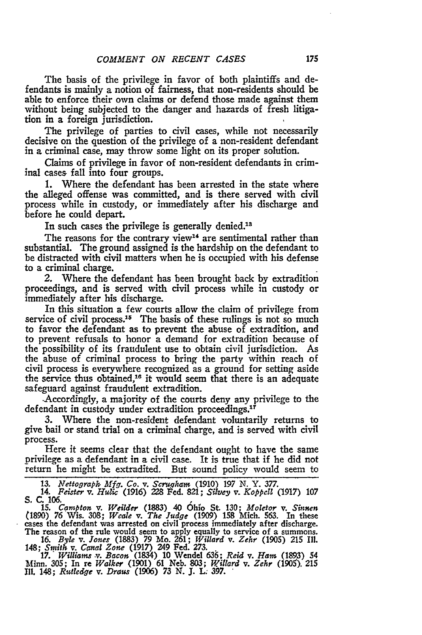The basis of the privilege in favor of both plaintiffs and defendants is mainly a notion of fairness, that non-residents should be able to enforce their own claims or defend those made against them without being subjected to the danger and hazards of fresh litigation in a foreign jurisdiction.

The privilege of parties to civil cases, while not necessarily decisive on the question of the privilege of a non-resident defendant in a criminal case, may throw some light on its proper solution.

Claims of privilege in favor of non-resident defendants in criminal cases fall into four groups.

**1.** Where the defendant has been arrested in the state where the alleged offense was committed, and is there served with civil process while in custody, or immediately after his discharge and before he could depart.

In such cases the privilege is generally denied.<sup>13</sup>

The reasons for the contrary view<sup>14</sup> are sentimental rather than substantial. The ground assigned is the hardship on the defendant to be distracted with civil matters when he is occupied with his defense to a criminal charge.

2. Where the defendant has been brought back by extradition proceedings, and is served with civil process while in custody or immediately after his discharge.

In this situation a few courts allow the claim of privilege from service of civil process.<sup>15</sup> The basis of these rulings is not so much to favor the defendant as to prevent the abuse of extradition, and to prevent refusals to honor a demand for extradition because of the possibility of its fraudulent use to obtain civil jurisdiction. As the abuse of criminal process to bring the party within reach of civil process is everywhere recognized as a ground for setting aside the service thus obtained,<sup>16</sup> it would seem that there is an adequate safeguard against fraudulent extradition.

.Accordingly, a majority of the courts deny any privilege to the defendant in custody under extradition proceedings.<sup>17</sup>

3. Where the non-resident defendant voluntarily returns to give bail or stand trial on a criminal charge, and is served with civil process.

Here it seems clear that the defendant ought to have the same privilege as a defendant in a civil case. It is true that if he did not return he might be extradited. But sound policy would seem to

**13.** *Nettograph Mfg. Co. v. Scrugham* (1910) 197 **N.** Y. *377.*

*14. Fei.ste v. Hulic* (1916) 228 Fed. **821;** *Silvey* v. *Koppell* (1917) **107 S. C.** *106.* **15.** *Campton v. Weilder* (1883) 40 6hlo St **130;** *Moletor v. Sinnen*

**(1890)** 76 Wis. 308; *Weale* v. *The Judge* (1909) **158** Mich. 563. In these cases the defendant was arrested on civil process immediately after discharge. The reason of the rule would seem to apply equally to service of a summons.

16. *Byle v. Jones* **(1883) 79** Mo. 261; *Willard v. Zehr* (1905) 215 Ill. 148; *Smith v. Canal Zone* (1917) 249 Fed. 273.. *17.' Williams ,v. Bacon* (1834) 10 Wendel 636; *Reid v. Ham* (1893) 54

Minn. 305; In re *Walker* (1901) 61 Neb. 803; *Willard v. Zehr* (1905). 215 **I1.** 148; *Rutledge v. Drau* (1906) **73** N. J. L; 397.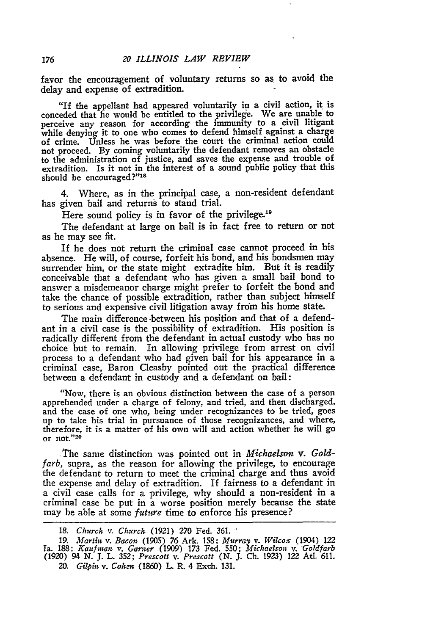favor the encouragement of voluntary returns so as. to avoid the delay and expense of extradition.

"If the appellant had appeared voluntarily in a civil action, it is conceded that he would be entitled to the privilege. We are unable to perceive any reason for according the immunity to a civil litigant while denying it to one who comes to defend himself against a charge of crime. Unless he was before the court the criminal action could not proceed. By coming voluntarily the defendant removes an obstacle to the administration of justice, and saves the expense and trouble of extradition. Is it not in the interest of a sound public policy that this should be encouraged?"<sup>18</sup>

4. Where, as in the principal case, a non-resident defendant has given bail and returns to stand trial.

Here sound policy is in favor of the privilege.<sup>19</sup>

The defendant at large on bail is in fact free to return or not as he may see fit.

If he does not return the criminal case cannot proceed in his absence. He will, of course, forfeit his bond, and his bondsmen may surrender him, or the state might extradite him. But it is readily conceivable that a defendant who has given a small bail bond to answer a misdemeanor charge might prefer to forfeit the bond and take the chance of possible extradition, rather than subject himself to serious and expensive civil litigation away from his home state.

The main difference between his position and that of a defendant in a civil case is the possibility of extradition. His position is radically different from the defendant in actual custody who has no choice but to remain. In allowing privilege from arrest on civil process to a defendant who had given bail for his appearance in a criminal case, Baron Cleasby pointed out the practical difference between a defendant in custody and a defendant on bail:

"Now, there is an obvious distinction between the case of a person apprehended under a charge of felony, and tried, and then discharged, and the case of one who, being under recognizances to be tried, goes up to take his trial in pursuance of those recognizances, and where, therefore, it is a matter of his own will and action whether he will go or not."20

The same distinction was pointed out in *Michaelson v. Goldfarb,* supra, as the reason for allowing the privilege, to encourage the defendant to return to meet the criminal charge and thus avoid the expense and delay of extradition. If fairness to a defendant in a civil case calls for a privilege, why should a non-resident in a criminal case be put in a worse position merely because the state may be able at some *future* time to enforce his presence?

176

<sup>18.</sup> *Church v. Church* (1921) **270** Fed. 361. **'**

**<sup>19.</sup>** *Martin v. Bacon.* (1905) **76** Ark. 158: *Murray v. Wilcox* (1904) 122 Ta. **188:** *Kaufinan v. Garner* (1909) **173** Fed. **550;** *Michaelson v.* Goldfarb (1920) 94 *N.* **J.** L. **352;** *Prescott v. Prescott (N.* **J.** Ch. 1923) 122 AtI. 611. *20. Gilpin v. Cohen* (1860) L R. 4 Exch. **131.**